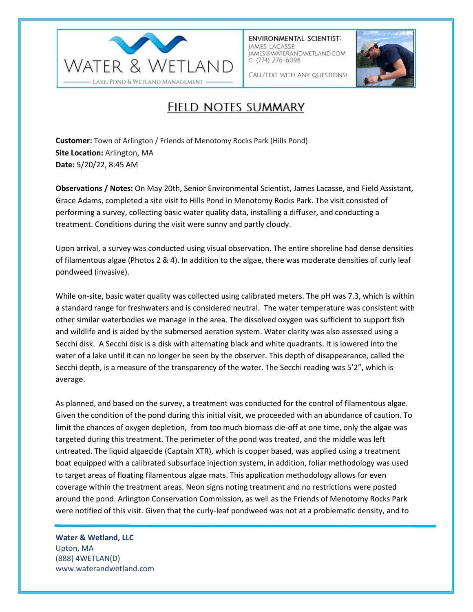

**ENVIRONMENTAL SCIENTIST:** JAMES LACASSE IAMES@WATERANDWETLAND.COM  $C: (774)$  276-6098



CALL/TEXT WITH ANY QUESTIONS!

## FIELD NOTES SUMMARY

**Customer:** Town of Arlington / Friends of Menotomy Rocks Park (Hills Pond) **Site Location:** Arlington, MA **Date:** 5/20/22, 8:45 AM

**Observations / Notes:** On May 20th, Senior Environmental Scientist, James Lacasse, and Field Assistant, Grace Adams, completed a site visit to Hills Pond in Menotomy Rocks Park. The visit consisted of performing a survey, collecting basic water quality data, installing a diffuser, and conducting a treatment. Conditions during the visit were sunny and partly cloudy.

Upon arrival, a survey was conducted using visual observation. The entire shoreline had dense densities of filamentous algae (Photos 2 & 4). In addition to the algae, there was moderate densities of curly leaf pondweed (invasive).

While on-site, basic water quality was collected using calibrated meters. The pH was 7.3, which is within a standard range for freshwaters and is considered neutral. The water temperature was consistent with other similar waterbodies we manage in the area. The dissolved oxygen was sufficient to support fish and wildlife and is aided by the submersed aeration system. Water clarity was also assessed using a Secchi disk. A Secchi disk is a disk with alternating black and white quadrants. It is lowered into the water of a lake until it can no longer be seen by the observer. This depth of disappearance, called the Secchi depth, is a measure of the transparency of the water. The Secchi reading was 5'2", which is average.

As planned, and based on the survey, a treatment was conducted for the control of filamentous algae. Given the condition of the pond during this initial visit, we proceeded with an abundance of caution. To limit the chances of oxygen depletion, from too much biomass die-off at one time, only the algae was targeted during this treatment. The perimeter of the pond was treated, and the middle was left untreated. The liquid algaecide (Captain XTR), which is copper based, was applied using a treatment boat equipped with a calibrated subsurface injection system, in addition, foliar methodology was used to target areas of floating filamentous algae mats. This application methodology allows for even coverage within the treatment areas. Neon signs noting treatment and no restrictions were posted around the pond. Arlington Conservation Commission, as well as the Friends of Menotomy Rocks Park were notified of this visit. Given that the curly-leaf pondweed was not at a problematic density, and to

**Water & Wetland, LLC** Upton, MA (888) 4WETLAN(D) www.waterandwetland.com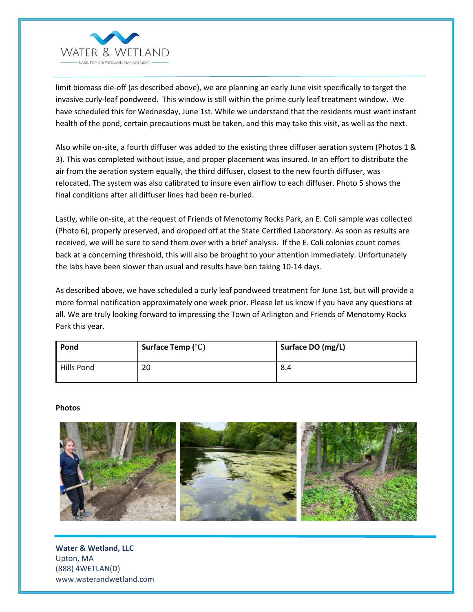

limit biomass die-off (as described above), we are planning an early June visit specifically to target the invasive curly-leaf pondweed. This window is still within the prime curly leaf treatment window. We have scheduled this for Wednesday, June 1st. While we understand that the residents must want instant health of the pond, certain precautions must be taken, and this may take this visit, as well as the next.

Also while on-site, a fourth diffuser was added to the existing three diffuser aeration system (Photos 1 & 3). This was completed without issue, and proper placement was insured. In an effort to distribute the air from the aeration system equally, the third diffuser, closest to the new fourth diffuser, was relocated. The system was also calibrated to insure even airflow to each diffuser. Photo 5 shows the final conditions after all diffuser lines had been re-buried.

Lastly, while on-site, at the request of Friends of Menotomy Rocks Park, an E. Coli sample was collected (Photo 6), properly preserved, and dropped off at the State Certified Laboratory. As soon as results are received, we will be sure to send them over with a brief analysis. If the E. Coli colonies count comes back at a concerning threshold, this will also be brought to your attention immediately. Unfortunately the labs have been slower than usual and results have ben taking 10-14 days.

As described above, we have scheduled a curly leaf pondweed treatment for June 1st, but will provide a more formal notification approximately one week prior. Please let us know if you have any questions at all. We are truly looking forward to impressing the Town of Arlington and Friends of Menotomy Rocks Park this year.

| Pond       | Surface Temp $(^{\circ}C)$ | Surface DO (mg/L) |
|------------|----------------------------|-------------------|
| Hills Pond | 20                         | 8.4               |

## **Photos**



**Water & Wetland, LLC** Upton, MA (888) 4WETLAN(D) www.waterandwetland.com